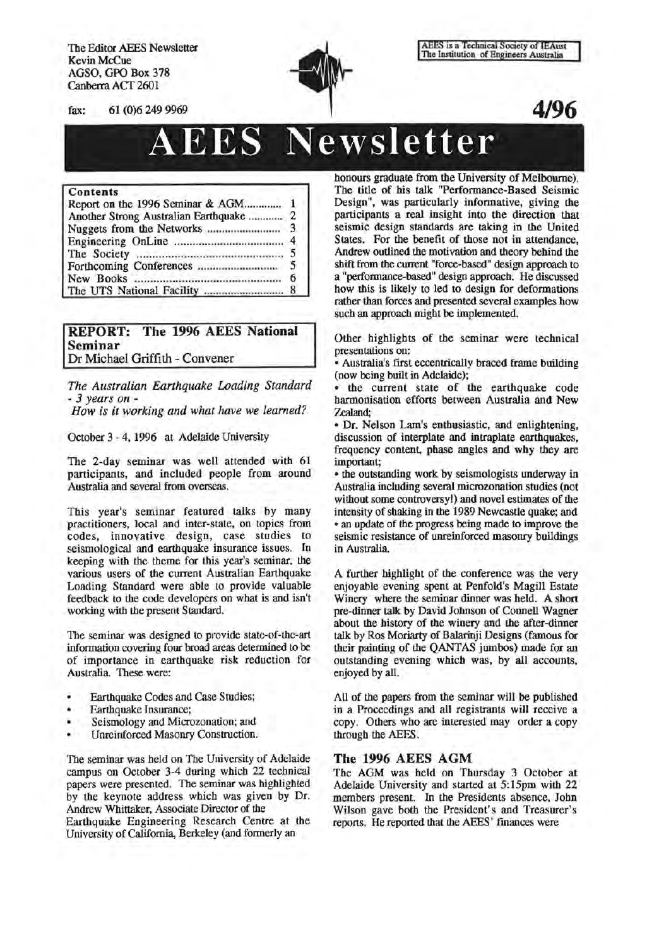The Editor AEES Newsletter Kevin McCue AGSO, GPO Box 378 Canberra ACT 2601



AEES is a Technical Society of IEAust<br>The Institution of Engineers Australia

# AEES **Newsletter**

#### Contents

| Report on the 1996 Seminar & AGM 1      |  |
|-----------------------------------------|--|
| Another Strong Australian Earthquake  2 |  |
|                                         |  |
|                                         |  |
|                                         |  |
|                                         |  |
|                                         |  |
|                                         |  |

## REPORT: The 1996 AEES National Seminar Dr Michael Griffith- Convener

*The Australian Earthquake Loading Standard How is it working and what have we learned?* 

October 3-4, 1996 at Adelaide University

The 2-day seminar was well attended with 61 participants, and included people from around Australia and several from overseas.

This year's seminar featured talks by many practitioners, local and inter-state, on topics from codes, innovative design, case studies to seismological and earthquake insurance issues. In keeping with the theme for this year's seminar, the various users of the current Australian Earthquake Loading Standard were able to provide valuable feedback to the code developers on what is and isn't working with the present Standard.

The seminar was designed to provide state-of-the-art information covering four broad areas determined to be of importance in earthquake risk reduction for Australia. These were:

- Earthquake Codes and Case Studies;
- Earthquake Insurance;
- Seismology and Microzonation; and ¥
- Unreinforced Masonry Construction.

The seminar was held on The University of Adelaide campus on October 3-4 during which 22 technical papers were presented. The seminar was highlighted by the keynote address which was given by Dr. Andrew Whittaker, Associate Director of the Earthquake Engineering Research Centre at the University of California, Berkeley (and fonnerly an

honours graduate from the University of Melbourne). The title of his talk "Performance-Based Seismic Design", was particularly informative, giving the participants a real insight into the direction that seismic design standards are taking in the United States. For the benefit of those not in attendance, Andrew outlined the motivation and theory behind the shift from the current "force-based" design approach to a "performance-based" design approach. He discussed how this is likely to led to design for deformations rather than forces and presented several examples how such an approach might be implemented.

Other highlights of the seminar were technical presentations on:

• Australia's first eccentrically braced frame building (now being built in Adelaide);

• the current state of the earthquake code harmonisation efforts between Australia and New Zealand;

• Dr. Nelson Lam's enthusiastic, and enlightening, discussion of interplate and intraplate earthquakes, frequency content, phase angles and why they are important;

• the outstanding work by seismologists underway in Australia including several microzonation studies (not without some controversy!) and novel estimates of the intensity of shaking in the 1989 Newcastle quake; and • an update of the progress being made to improve the seismic resistance of unreinforced masonry buildings in Australia

A further highlight of the conference was the very enjoyable evening spent at Penfold's Magill Estate Winery where the seminar dinner was held. A short pre-dinner talk by David Johnson of Connell Wagner about the history of the winery and the after-dinner talk by Ros Moriarty of Balarinji Designs (famous for their painting of the QANTAS jumbos) made for an outstanding evening which was, by all accounts, enjoyed by all.

All of the papers from the seminar will be published in a Proceedings and all registrants will receive a copy. Others who are interested may order a copy through the AEES.

## The 1996 AEES AGM

The AGM was held on Thursday 3 October at Adelaide University and started at 5:15pm with 22 members present. In the Presidents absence, John Wilson gave both the President's and Treasurer's reports. He reported that the AEES' fmances were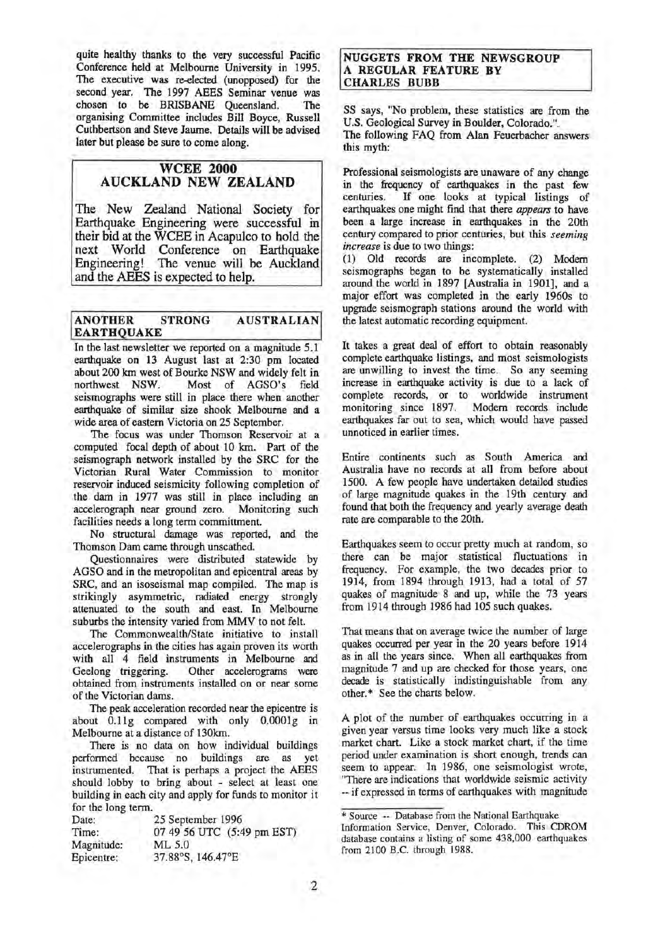quite healthy thanks to the very successful Pacific Conference held at Melbourne University in 1995. The executive was re-elected (unopposed) for the second year. The 1997 AEES Seminar venue was chosen to be BRISBANE Oueensland. The chosen to be BRISBANE Queensland. organising Committee includes Bill Boyce, Russell Cuthbertson and Steve Jaume. Details will be advised later but please be sure to come along.

## WCEE 2000 AUCKLAND NEW ZEALAND

The New Zealand National Society for Earthquake Engineering were successful in their bid at the WCEE in Acapulco to hold the next World Conference on Earthquake Engineering! The venue will be Auckland and the AEES is expected to help.

#### ANOTHER STRONG AUSTRALIAN EARTHQUAKE

In the last newsletter we reported on a magnitude 5.1 earthquake on 13 August last at 2:30 pm located about 200 km west of Bourke NSW and widely felt in Most of AGSO's field seismographs were still in place there when another earthquake of similar size shook Melbourne and a wide area of eastern Victoria on 25 September.

The focus was under Thomson Reservoir at a computed focal depth of about 10 km. Part of the seismograph network installed by the SRC for the Victorian Rural Water Commission to monitor reservoir induced seismicity following completion of the dam in 1977 was still in place including an accelerograph near ground zero. Monitoring such accelerograph near ground zero. facilities needs a long term committment.

No structural damage was reported, and the Thomson Dam came through unscathed.

Questionnaires were distributed statewide by AGSO and in the metropolitan and epicentral areas by SRC, and an isoseismal map compiled. The map is strikingly asymmetric, radiated energy strongly attenuated to the south and east. In Melbourne suburbs the intensity varied from MMV to not felt.

The Commonwealth/State initiative to install accelerographs in the cities has again proven its worth with all 4 field instruments in Melbourne and Geelong triggering. Other accelerograms were obtained from instruments installed on or near some of the Victorian dams.

The peak acceleration recorded near the epicentre is about O.llg compared with only O.OOOlg in Melbourne at a distance of 130km.

There is no data on how individual buildings performed because no buildings are as yet instrumented. That is perhaps a project the AEES should lobby to bring about - select at least one building in each city and apply for funds to monitor it for the long term.

| Date:      | 25 September 1996          |
|------------|----------------------------|
| Time:      | 07 49 56 UTC (5:49 pm EST) |
| Magnitude: | ML 5.0                     |
| Epicentre: | 37.88°S, 146.47°E          |

#### NUGGETS FROM THE NEWSGROUP A REGULAR FEATURE BY CHARLES BUBB

SS says, "No problem, these statistics are from the U.S. Geological Survey in Boulder, Colorado.". The following FAQ from Alan Feuerbacher answers this myth:

Professional seismologists are unaware of any change in the frequency of earthquakes in the past few<br>centuries. If one looks at typical listings of If one looks at typical listings of earthquakes one might find that there *appears* to have been a large increase in earthquakes in the 20th century compared to prior centuries, but this *seeming increase* is due to two things:

(1) Old records are incomplete. (2) Modem seismographs began to be systematically installed around the world in 1897 [Australia in 1901], and a major effort was completed in the early 1960s to upgrade seismograph stations around the world with the latest automatic recording equipment.

It takes a great deal of effort to obtain reasonably complete earthquake listings, and most seismologists are unwilling to invest the time. So any seeming increase in earthquake activity is due to a lack of complete records, or to worldwide instrument monitoring since 1897. Modem records include earthquakes far out to sea, which would have passed unnoticed in earlier times.

Entire continents such as South America and Australia have no records at all from before about 1500. A few people have undertaken detailed studies of large magnitude quakes in the 19th century and found that both the frequency and yearly average death rate are comparable to the 20th.

Earthquakes seem to occur pretty much at random, so there can be major statistical fluctuations in frequency. For example, the two decades prior to 1914, from 1894 through 1913, had a total of 57 quakes of magnitude 8 and up, while the 73 years from 1914 through 1986 had 105 such quakes.

That means that on average twice the number of large quakes occurred per year in the 20 years before 1914 as in all the years since. When all earthquakes from magnitude 7 and up are checked for those years, one decade is statistically indistinguishable from any other.\* See the charts below.

A plot of the number of earthquakes occurring in a given year versus time looks very much like a stock market chart. Like a stock market chart, if the time period under examination is short enough, trends can seem to appear. In 1986, one seismologist wrote, "There are indications that worldwide seismic activity -- if expressed in terms of earthquakes with magnitude

<sup>\*</sup> Source -- Database from the National Earthquake

Information Service, Denver, Colorado. This CDROM database contains a listing of some 438,000 earthquakes from 2100 B.C. through 1988.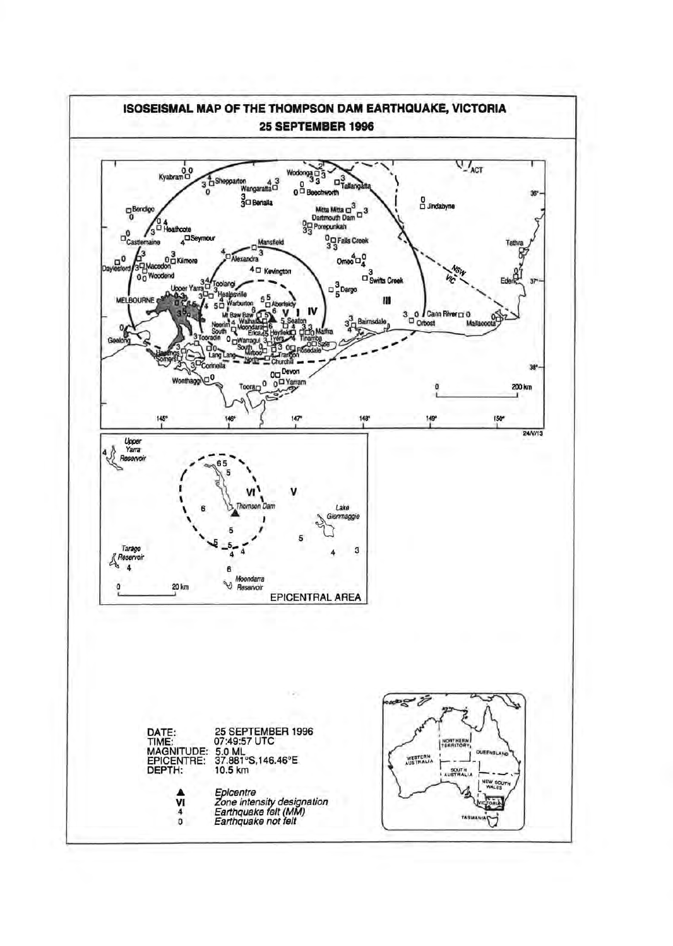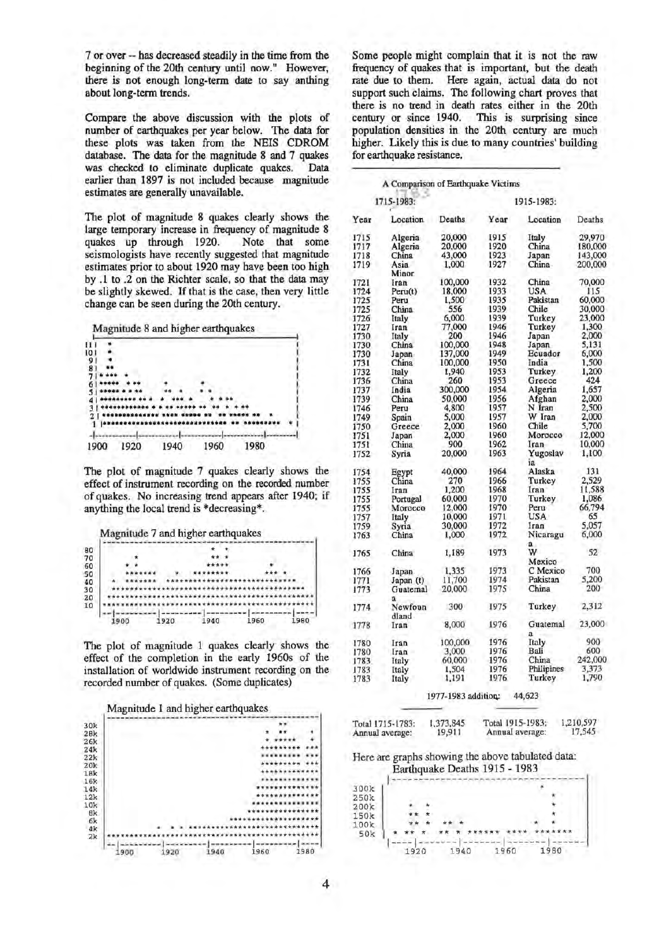7 or over -- has decreased steadily in the time from the beginning of the 20th century until now." However, there is not enough long-term date to say anthing about long-term trends.

Compare the above discussion with the plots of number of earthquakes per year below. The data for these plots was taken from the NElS CDROM database. The data for the magnitude 8 and 7 quakes was checked to eliminate duplicate quakes. Data earlier than 1897 is not included because magnitude estimates are generally unavailable.

The plot of magnitude 8 quakes clearly shows the large temporary increase in frequency of magnitude 8 quakes up through 1920. Note that some seismologists have recently suggested that magnitude estimates prior to about 1920 may have been too high by .1 to .2 on the Richter scale, so that the data may be slightly skewed. If that is the case, then very little change can be seen during the 20th century.

Magnitude 8 and higher earthquakes



The plot of magnitude 7 quakes clearly shows the effect of instrument recording on the recorded number of quakes. No increasing trend appears after 1940; if anything the local trend is \*decreasing\*.



|  | 1900 |  |  |  | 1920 |  |  |  |  | 1940 |  |  |  | 1960 |  |  |  |  | 1980 |  |
|--|------|--|--|--|------|--|--|--|--|------|--|--|--|------|--|--|--|--|------|--|

The plot of magnitude 1 quakes clearly shows the effect of the completion in the early 1960s of the installation of worldwide instrument recording on the recorded number of quakes. (Some duplicates)



Some people might complain that it is not the raw frequency of quakes that is important, but the death rate due to them. Here again, actual data do not support such claims. The following chart proves that there is no trend in death rates either in the 20th century or since 1940. This is surprising since This is surprising since population densities in the 20th century are much higher. Likely this is due to many countries' building for earthquake resistance.

|      | A Comparison of Earthquake Victims |               |      |                |         |  |  |  |  |  |  |
|------|------------------------------------|---------------|------|----------------|---------|--|--|--|--|--|--|
|      | 1715-1983:                         | 1915-1983:    |      |                |         |  |  |  |  |  |  |
| Year | Location                           | <b>Deaths</b> | Year | Location       | Deaths  |  |  |  |  |  |  |
| 1715 | Algeria                            | 20,000        | 1915 | Italy          | 29.970  |  |  |  |  |  |  |
| 1717 | Algeria                            | 20,000        | 1920 | China          | 180,000 |  |  |  |  |  |  |
| 1718 | China                              | 43,000        | 1923 | Japan          | 143,000 |  |  |  |  |  |  |
| 1719 | Asia                               | 1.000         | 1927 | China.         | 200,000 |  |  |  |  |  |  |
|      | Minor                              |               |      |                |         |  |  |  |  |  |  |
| 1721 | Iran                               | 100,000       | 1932 | China          | 70,000  |  |  |  |  |  |  |
| 1724 | Peru(t)                            | 18,000        | 1933 | USA            | 115     |  |  |  |  |  |  |
| 1725 | Peru                               | 1,500         | 1935 | Pakistan       | 60,000  |  |  |  |  |  |  |
| 1725 | China                              | 556           | 1939 | Chile          | 30,000  |  |  |  |  |  |  |
| 1726 | Italy                              | 6,000         | 1939 | Turkey         | 23,000  |  |  |  |  |  |  |
| 1727 |                                    | 77,000        | 1946 | Turkey         | 1,300   |  |  |  |  |  |  |
|      | Iran                               |               |      |                |         |  |  |  |  |  |  |
| 1730 | Italy                              | 200           | 1946 | Japan          | 2,000   |  |  |  |  |  |  |
| 1730 | China                              | 100,000       | 1948 | Japan          | 5.131   |  |  |  |  |  |  |
| 1730 | Japan                              | 137,000       | 1949 | Ecuador        | 6,000   |  |  |  |  |  |  |
| 1731 | China                              | 100,000       | 1950 | India          | 1,500   |  |  |  |  |  |  |
| 1732 | Italy                              | 1,940         | 1953 | Turkey         | 1,200   |  |  |  |  |  |  |
| 1736 | China                              | 260           | 1953 | Greece         | 424     |  |  |  |  |  |  |
| 1737 | India                              | 300,000       | 1954 | Algeria        | 1.657   |  |  |  |  |  |  |
| 1739 | China                              | 50,000        | 1956 | Afghan         | 2,000   |  |  |  |  |  |  |
| 1746 | Peru                               | 4.800         | 1957 | N Iran         | 2,500   |  |  |  |  |  |  |
| 1749 | Spain                              | 5,000         | 1957 | W Iran         | 2,000   |  |  |  |  |  |  |
| 1750 | Greece                             | 2,000         | 1960 | Chile          | 5,700   |  |  |  |  |  |  |
|      |                                    | 2,000         | 1960 | Morocco        | 12,000  |  |  |  |  |  |  |
| 1751 | Japan                              |               |      |                |         |  |  |  |  |  |  |
| 1751 | China                              | 900           | 1962 | Iran           | 10.000  |  |  |  |  |  |  |
| 1752 | Syria                              | 20,000        | 1963 | Yugoslav<br>ia | 1.100   |  |  |  |  |  |  |
| 1754 | Egypt                              | 40,000        | 1964 | Alaska         | 131     |  |  |  |  |  |  |
| 1755 | China                              | 270           | 1966 | Turkey         | 2,529   |  |  |  |  |  |  |
| 1755 | Iran                               | 1,200         | 1968 | Iran           | 11,588  |  |  |  |  |  |  |
|      |                                    | 60,000        | 1970 | Turkey         | 1,086   |  |  |  |  |  |  |
| 1755 | Portugal                           |               |      |                | 66,794  |  |  |  |  |  |  |
| 1755 | Morocco                            | 12,000        | 1970 | Peru           |         |  |  |  |  |  |  |
| 1757 | Italy                              | 10,000        | 1971 | USA            | 65      |  |  |  |  |  |  |
| 1759 | Syria                              | 30,000        | 1972 | Iran           | 5.057   |  |  |  |  |  |  |
| 1763 | China                              | 1,000         | 1972 | Nicaragu       | 6,000   |  |  |  |  |  |  |
|      |                                    |               |      | ä              |         |  |  |  |  |  |  |
| 1765 | China                              | 1,189         | 1973 | w              | 52      |  |  |  |  |  |  |
|      |                                    |               |      | Mexico         |         |  |  |  |  |  |  |
| 1766 | Japan                              | 1,335         | 1973 | C Mexico       | 700     |  |  |  |  |  |  |
| 1771 | Japan(t)                           | 11,700        | 1974 | Pakistan       | 5.200   |  |  |  |  |  |  |
| 1773 | Guatemal                           | 20,000        | 1975 | China          | 200     |  |  |  |  |  |  |
|      | ā                                  |               |      |                |         |  |  |  |  |  |  |
| 1774 | Newfoun                            | 300           | 1975 | Turkey         | 2,312   |  |  |  |  |  |  |
|      | dland                              |               |      |                |         |  |  |  |  |  |  |
| 1778 | Iran                               | 8,000         | 1976 | Guatemal       | 23,000  |  |  |  |  |  |  |
|      |                                    |               |      | a              |         |  |  |  |  |  |  |
| 1780 | Iran                               | 100,000       | 1976 | Italy          | 900     |  |  |  |  |  |  |
| 1780 | Iran                               | 3,000         | 1976 | Bali           | 600     |  |  |  |  |  |  |
| 1783 | Italy                              | 60,000        | 1976 | China          | 242,000 |  |  |  |  |  |  |
| 1783 | Italy                              | 1,504         | 1976 | Philipines     | 3,373   |  |  |  |  |  |  |
| 1783 | Italy                              | 1,191         | 1976 | Turkey         | 1,790   |  |  |  |  |  |  |
|      |                                    |               |      |                |         |  |  |  |  |  |  |

#### 1977-1983 addition: 44,623

| Total 1715-1783: | 1,373,845 | Total 1915-1983: | 1,210,597 |
|------------------|-----------|------------------|-----------|
| Annual average:  | 19,911    | Annual average:  | 17,545    |

Here are graphs showing the above tabulated data:

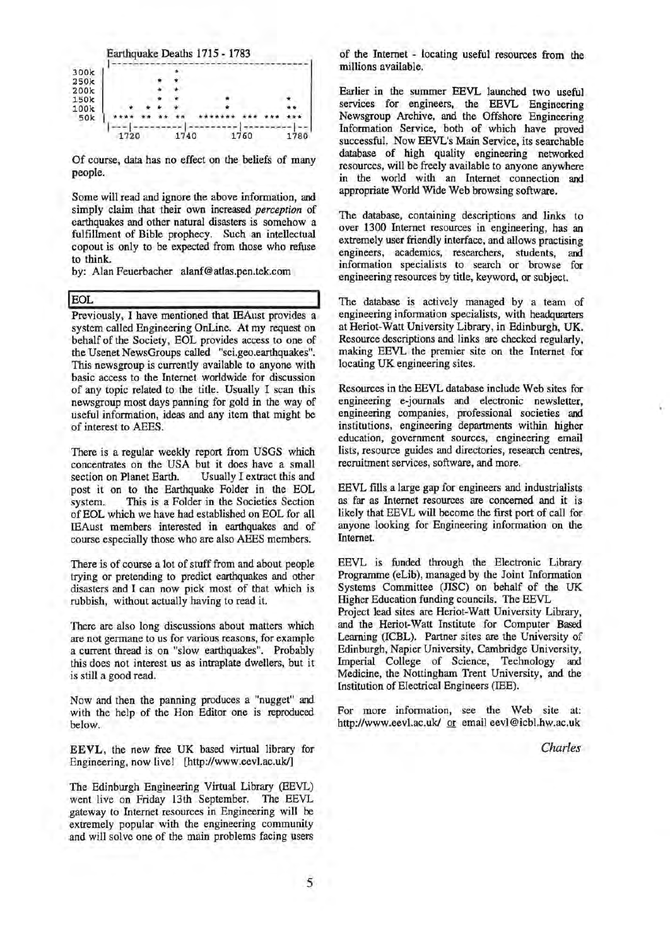

Of course, data has no effect on the beliefs of many people.

Some will read and ignore the above information, and simply claim that their own increased *perception* of earthquakes and other natural disasters is somehow a fulfillment of Bible prophecy. Such an intellectual copout is only to be expected from those who refuse to think.

by: Alan Feuerbacher alanf@atlas.pen.tek.com

**IEOL IEOL** Previously, I have mentioned that IEAust provides a system called Engineering OnLine. At my request on behalf of the Society, EOL provides access to one of the Usenet NewsGroups called "sci.geo.earthquakes". This newsgroup is currently available to anyone with basic access to the Internet worldwide for discussion of any topic related to the title. Usually I scan this newsgroup most days panning for gold in the way of useful information, ideas and any item that might be of interest to AEES.

There is a regular weekly report from USGS which concentrates on the USA but it does have a small section on Planet Earth. Usually I extract this and post it on to the Earthquake Folder in the EOL system. This is a Folder in the Societies Section of EOL which we have had established on EOL for all IEAust members interested in earthquakes and of course especially those who are also AEES members.

There is of course a lot of stuff from and about people trying or pretending to predict earthquakes and other disasters and I can now pick most of that which is rubbish, without actually having to read it.

There are also long discussions about matters which are not germane to us for various reasons, for example a current thread is on "slow earthquakes". Probably this does not interest us as intraplate dwellers, but it is still a good read.

Now and then the panning produces a "nugget" and with the help of the Hon Editor one is reproduced below.

EEVL, the new free UK based virtual library for Engineering, now live! [http://www.eevl.ac.uk/]

The Edinburgh Engineering Virtual Library (EEVL) went live on Friday 13th September. The EEVL gateway to Internet resources in Engineering will be extremely popular with the engineering community and will solve one of the main problems facing users of the Internet - locating useful resources from the millions available.

Earlier in the summer EEVL launched two useful services for engineers, the EEVL Engineering Newsgroup Archive, and the Offshore Engineering Information Service, both of which have proved successful. Now EEVL's Main Service, its searchable database of high quality engineering networked resources, will be freely available to anyone anywhere in the world with an Internet connection and appropriate World Wide Web browsing software.

The database, containing descriptions and links to over 1300 Internet resources in engineering, has an extremely user friendly interface, and allows practising engineers, academics, researchers, students, and information specialists to search or browse for engineering resources by title, keyword, or subject.

The database is actively managed by a team of engineering information specialists, with headquarters at Heriot-Watt University Library, in Edinburgh, UK. Resource descriptions and links are checked regularly, making EEVL the premier site on the Internet for locating UK engineering sites.

Resources in the EEVL database include Web sites for engineering e-journals and electronic newsletter, engineering companies, professional societies and institutions, engineering departments within higher education, government sources, engineering email lists, resource guides and directories, research centres, recruitment services, software, and more.

EEVL fills a large gap for engineers and industrialists as far as Internet resources are concerned and it is likely that EEVL will become the first port of call for anyone looking for Engineering information on the Internet.

EEVL is funded through the Electronic Library Programme (eLib), managed by the Joint Information Systems Committee (JISC) on behalf of the UK Higher Education funding councils. The EEVL

Project lead sites are Heriot-Watt University Library, and the Heriot-Watt Institute for Computer Based Learning (ICBL). Partner sites are the University of Edinburgh, Napier University, Cambridge University, Imperial College of Science, Technology and Medicine, the Nottingham Trent University, and the Institution of Electrical Engineers (lEE).

For more information, see the Web site at: http://www.eevl.ac.uk/ or email eevl@icbl.hw.ac.uk

*Charles*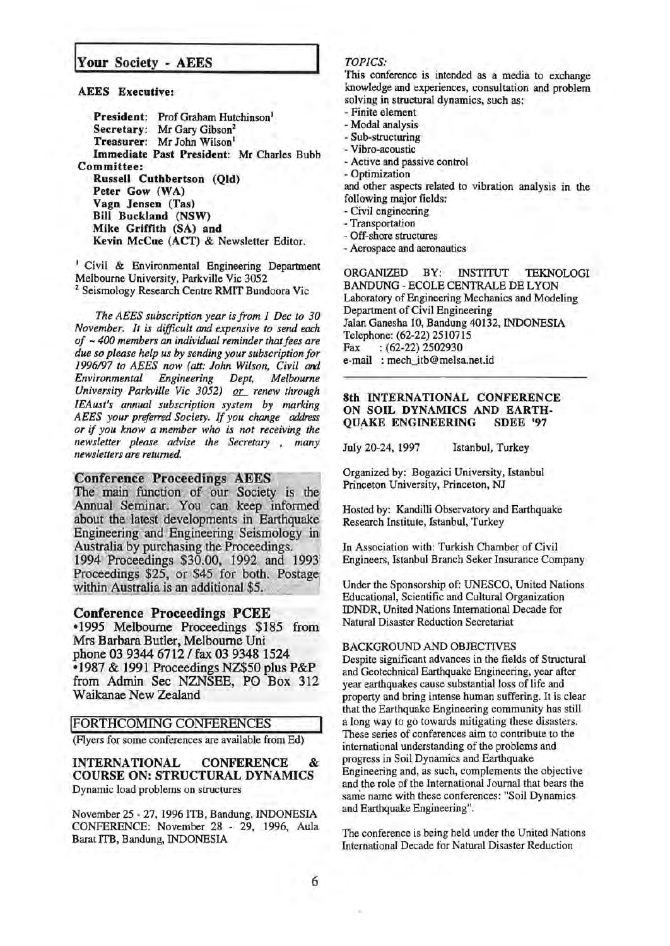## Your Society - AEES

AEES Executive:

President: Prof Graham Hutchinson<sup>1</sup> Secretary: Mr Gary Gibson<sup>2</sup> Treasurer: Mr John Wilson<sup>1</sup> Immediate Past President: Mr Charles Bubb Committee: Russell Cuthbertson (Qld) Peter Gow (WA) Vagn Jensen (Tas) Bill Buckland (NSW) Mike Griffith (SA) and Kevin McCue (ACT) & Newsletter Editor.

<sup>1</sup> Civil & Environmental Engineering Department<br>Melbourne University, Parkville Vic 3052 <sup>2</sup> Seismology Research Centre RMIT Bundoora Vic

*The AEES subscription year is from 1 Dec to 30 November. It is difficult and expensive to send each of* - *400 members an individual reminder that fees are due so please help us by sending your subscription for*  1996/97 to AEES now (att: John Wilson, Civil and *Environmental Engineering Dept, Melbourne University Parkville Vic 3052)* or renew through *IEAust's annual subscription system by marking AEES your preferred Society. If you change address or* if *you know a member who is not receiving the newsletter please advise the Secretary* , *many newsletters are returned.* 

#### **Conference Proceedings AEES**

The main function of our Society is the<br>Annual Seminar. You can keep informed about the latest developments in Earthquake Engineering and Engineering Seismology in Australia by purchasing the Proceedings. 1994 Proceedings \$30.00, 1992 and 1993 Proceedings \$25, or \$45 for both. Postage within Australia is an additional \$5.

#### Conference Proceedings PCEE

•1995 Melbourne Proceedings \$185 from Mrs Barbara Butler, Melbourne Uni phone 03 9344 6712 / fax 03 9348 1524 •1987 & 1991 Proceedings NZ\$50 plus P&P from Admin Sec NZNSEE, PO Box 312 Waikanae New Zealand

#### !FORTHCOMING CONFERENCES

(Flyers for some conferences are available from Ed)

INTERNATIONAL CONFERENCE & COURSE ON: STRUCTURAL DYNAMICS Dynamic load problems on structures

November 25- 27, 1996 ITB, Bandung, INDONESIA CONFERENCE: November 28 - 29, 1996, Aula Barat ITB, Bandung, INDONESIA

## *TOPICS:*

This conference is intended as a media to exchange knowledge and experiences, consultation and problem solving in structural dynamics, such as:

- Finite element

- Modal analysis

- Sub-structuring

- Vibro-acoustic
- -Active and passive control

- Optimization

and other aspects related to vibration analysis in the following major fields:

- Civil engineering

- Transportation

- Off-shore structures
- Aerospace and aeronautics

ORGANIZED BY: INSTITUT TEKNOLOGI BANDUNG- ECOLE CENTRALE DE LYON Laboratory of Engineering Mechanics and Modeling Department of Civil Engineering Jalan Ganesha 10, Bandung 40132, INDONESIA Telephone: (62-22) 2510715 Fax : (62-22) 2502930 e-mail : mech\_itb@melsa.net.id

### 8th INTERNATIONAL CONFERENCE ON SOIL DYNAMICS AND EARTH-QUAKE ENGINEERING SDEE '97

July 20-24, 1997 Istanbul, Turkey

Organized by: Bogazici University, Istanbul Princeton University, Princeton, NJ

Hosted by: Kandilli Observatory and Earthquake Research Institute, Istanbul, Turkey

In Association with: Turkish Chamber of Civil Engineers, Istanbul Branch Seker Insurance Company

Under the Sponsorship of: UNESCO, United Nations Educational, Scientific and Cultural Organization IDNDR, United Nations International Decade for Natural Disaster Reduction Secretariat

#### BACKGROUND AND OBJECTIVES

Despite significant advances in the fields of Structural and Geotechnical Earthquake Engineering, year after year earthquakes cause substantial loss of life and property and bring intense human suffering. It is clear that the Earthquake Engineering community has still a long way to go towards mitigating these disasters. These series of conferences aim to contribute to the international understanding of the problems and progress in Soil Dynamics and Earthquake . . Engineering and, as such, complements the objective and the role of the International Journal that bears the same name with these conferences: "Soil Dynamics and Earthquake Engineering".

The conference is being held under the United Nations International Decade for Natural Disaster Reduction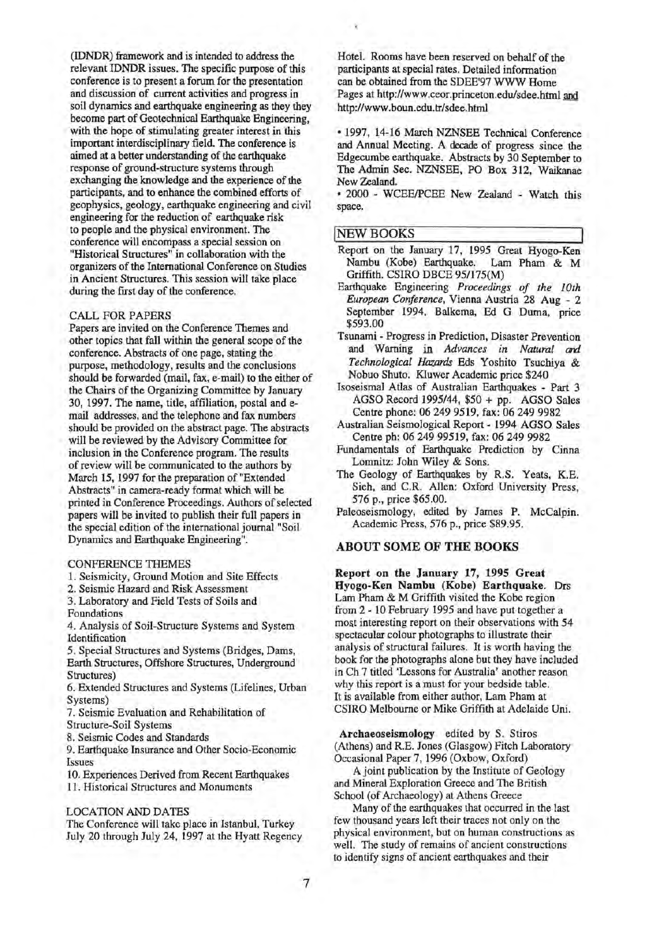(IDNDR) framework and is intended to address the relevant IDNDR issues. The specific purpose of this conference is to present a forum for the presentation and discussion of current activities and progress in soil dynamics and earthquake engineering as they they become part of Geotechnical Earthquake Engineering, with the hope of stimulating greater interest in this important interdisciplinary field. The conference is aimed at a better understanding of the earthquake response of ground-structure systems through exchanging the knowledge and the experience of the participants, and to enhance the combined efforts of geophysics, geology, earthquake engineering and civil engineering for the reduction of earthquake risk to people and the physical environment. The conference will encompass a special session on "Historical Structures" in collaboration with the organizers of the International Conference on Studies in Ancient Structures. This session will take place during the frrst day of the conference.

#### CALL FOR PAPERS

Papers are invited on the Conference Themes and other topics that fall within the general scope of the conference. Abstracts of one page, stating the purpose, methodology, results and the conclusions should be forwarded (mail, fax, e-mail) to the either of the Chairs of the Organizing Committee by January 30, 1997. The name, title, affiliation, postal and email addresses, and the telephone and fax numbers should be provided on the abstract page. The abstracts will be reviewed by the Advisory Committee for inclusion in the Conference program. The results of review will be communicated to the authors by March 15, 1997 for the preparation of "Extended Abstracts" in camera-ready format which will be printed in Conference Proceedings. Authors of selected papers will be invited to publish their full papers in the special edition of the international journal "Soil Dynamics and Earthquake Engineering".

#### CONFERENCE THEMES

1. Seismicity, Ground Motion and Site Effects

2. Seismic Hazard and Risk Assessment

3. Laboratory and Field Tests of Soils and Foundations

4. Analysis of Soil-Structure Systems and System Identification

5. Special Structures and Systems (Bridges, Dams, Earth Structures, Offshore Structures, Underground Structures)

6. Extended Structures and Systems (Lifelines, Urban Systems)

7. Seismic Evaluation and Rehabilitation of Structure-Soil Systems

8. Seismic Codes and Standards

9. Earthquake Insurance and Other Socio-Economic Issues

10. Experiences Derived from Recent Earthquakes

11. Historical Structures and Monuments

#### LOCATION AND DATES

The Conference will take place in Istanbul, Turkey July 20 through July 24, 1997 at the Hyatt Regency Hotel. Rooms have been reserved on behalf of the participants at special rates. Detailed information can be obtained from the SDEE'97 WWW Home Pages at http://www.ceor.princeton.edu/sdee.htrnl and http://www.boun.edu.tr/sdee.html -

• 1997, 14-16 March NZNSEE Technical Conference and Annual Meeting. A decade of progress since the Edgecombe earthquake. Abstracts by 30 September to The Admin Sec. NZNSEE, PO Box 312, Waikanae New Zealand.

• 2000 - WCEEIPCEE New Zealand - Watch this space.

#### **NEW BOOKS**

- Report on the January 17, 1995 Great Hyogo-Ken<br>Nambu (Kobe) Earthquake. Lam Pham & M Nambu (Kobe) Earthquake. Griffith. CSIRO DBCE 95/175(M)
- Earthquake Engineering *Proceedings of the 1Oth European Conference,* Vienna Austria 28 Aug - 2 September 1994, Balkema, Ed G Duma, price \$593.00
- Tsunami Progress in Prediction, Disaster Prevention and Warning in *Advances in Natural ard Technological Hazards* Eds Yoshito Tsuchiya & Nobuo Shuto. Kluwer Academic price \$240
- Isoseismal Atlas of Australian Earthquakes Part 3 AGSO Record 1995/44, \$50 + pp. AGSO Sales Centre phone: 06 249 9519, fax: 06 249 9982
- Australian Seismological Report- 1994 AGSO Sales Centre ph: 06 249 99519, fax: 06 249 9982
- Fundamentals of Earthquake Prediction by Cinna Lomnitz: John Wiley & Sons.
- The Geology of Earthquakes by R.S. Yeats, K.E. Sieh, and C.R. Allen: Oxford University Press, 576 p., price \$65.00.
- Paleoseismology, edited by James P. McCalpin. Academic Press, 576 p., price \$89.95.

#### ABOUT SOME OF THE BOOKS

Report on the January 17, 1995 Great Hyogo-Ken Nambu (Kobe) Earthquake. Drs Lam Pham & M Griffith visited the Kobe region from 2 - 10 February 1995 and have put together a most interesting report on their observations with 54 spectacular colour photographs to illustrate their analysis of structural failures. It is worth having the book for the photographs alone but they have included in Ch 7 titled 'Lessons for Australia' another reason why this report is a must for your bedside table. It is available from either author, Lam Pham at CSIRO Melbourne or Mike Griffith at Adelaide Uni.

Archaeoseismology edited by S. Stiros (Athens) and R.E. Jones (Glasgow) Fitch Laboratory Occasional Paper 7, 1996 (Oxbow, Oxford)

A joint publication by the Institute of Geology and Mineral Exploration Greece and The British School (of Archaeology) at Athens Greece

Many of the earthquakes that occurred in the last few thousand years left their traces not only on the physical environment, but on human constructions as well. The study of remains of ancient constructions to identify signs of ancient earthquakes and their